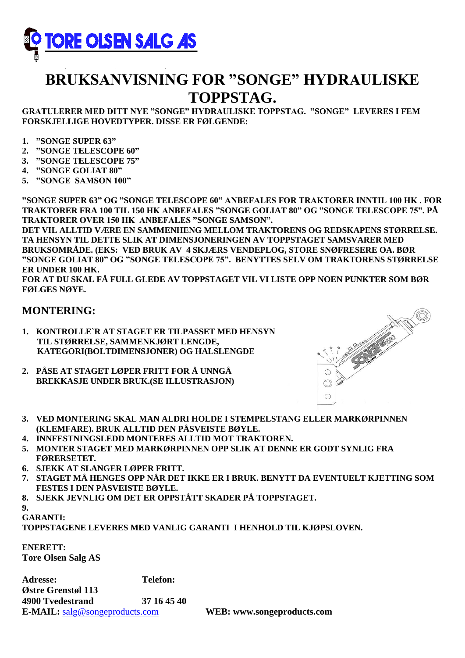

# **BRUKSANVISNING FOR "SONGE" HYDRAULISKE TOPPSTAG.**

**GRATULERER MED DITT NYE "SONGE" HYDRAULISKE TOPPSTAG. "SONGE" LEVERES I FEM FORSKJELLIGE HOVEDTYPER. DISSE ER FØLGENDE:**

- **1. "SONGE SUPER 63"**
- **2. "SONGE TELESCOPE 60"**
- **3. "SONGE TELESCOPE 75"**
- **4. "SONGE GOLIAT 80"**
- **5. "SONGE SAMSON 100"**

**"SONGE SUPER 63" OG "SONGE TELESCOPE 60" ANBEFALES FOR TRAKTORER INNTIL 100 HK . FOR TRAKTORER FRA 100 TIL 150 HK ANBEFALES "SONGE GOLIAT 80" OG "SONGE TELESCOPE 75". PÅ TRAKTORER OVER 150 HK ANBEFALES "SONGE SAMSON".**

**DET VIL ALLTID VÆRE EN SAMMENHENG MELLOM TRAKTORENS OG REDSKAPENS STØRRELSE. TA HENSYN TIL DETTE SLIK AT DIMENSJONERINGEN AV TOPPSTAGET SAMSVARER MED BRUKSOMRÅDE. (EKS: VED BRUK AV 4 SKJÆRS VENDEPLOG, STORE SNØFRESERE OA. BØR "SONGE GOLIAT 80" OG "SONGE TELESCOPE 75". BENYTTES SELV OM TRAKTORENS STØRRELSE ER UNDER 100 HK.**

**FOR AT DU SKAL FÅ FULL GLEDE AV TOPPSTAGET VIL VI LISTE OPP NOEN PUNKTER SOM BØR FØLGES NØYE.**

#### **MONTERING:**

- **1. KONTROLLE`R AT STAGET ER TILPASSET MED HENSYN TIL STØRRELSE, SAMMENKJØRT LENGDE, KATEGORI(BOLTDIMENSJONER) OG HALSLENGDE**
- **2. PÅSE AT STAGET LØPER FRITT FOR Å UNNGÅ BREKKASJE UNDER BRUK.(SE ILLUSTRASJON)**



- **3. VED MONTERING SKAL MAN ALDRI HOLDE I STEMPELSTANG ELLER MARKØRPINNEN (KLEMFARE). BRUK ALLTID DEN PÅSVEISTE BØYLE.**
- **4. INNFESTNINGSLEDD MONTERES ALLTID MOT TRAKTOREN.**
- **5. MONTER STAGET MED MARKØRPINNEN OPP SLIK AT DENNE ER GODT SYNLIG FRA FØRERSETET.**
- **6. SJEKK AT SLANGER LØPER FRITT.**
- **7. STAGET MÅ HENGES OPP NÅR DET IKKE ER I BRUK. BENYTT DA EVENTUELT KJETTING SOM FESTES I DEN PÅSVEISTE BØYLE.**
- **8. SJEKK JEVNLIG OM DET ER OPPSTÅTT SKADER PÅ TOPPSTAGET.**

**9.**

**GARANTI:**

**TOPPSTAGENE LEVERES MED VANLIG GARANTI I HENHOLD TIL KJØPSLOVEN.**

**ENERETT: Tore Olsen Salg AS**

**Adresse: Telefon: Østre Grenstøl 113 4900 Tvedestrand 37 16 45 40 E-MAIL:** [salg@songeproducts.com](mailto:salg@songeproducts.com) **WEB: www.songeproducts.com**